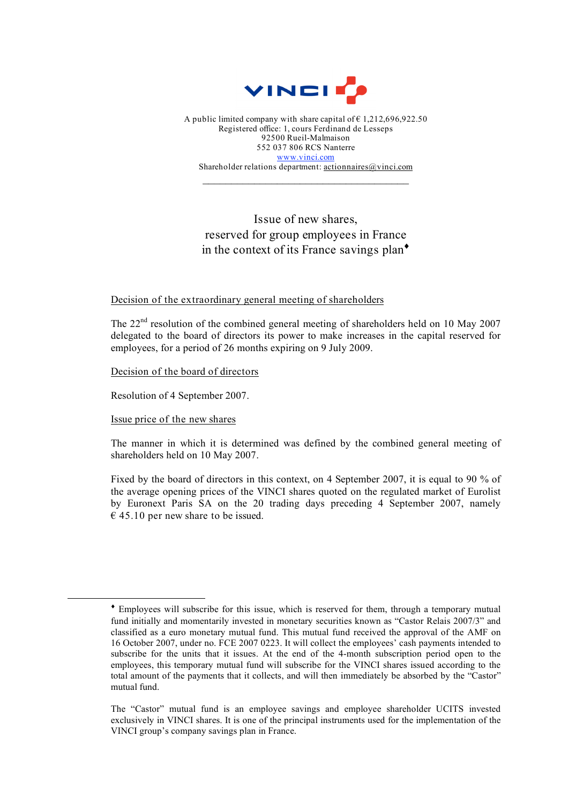

A public limited company with share capital of  $\epsilon$  1,212,696,922.50 Registered office: 1, cours Ferdinand de Lesseps 92500 Rueil-Malmaison 552 037 806 RCS Nanterre www.vinci.com Shareholder relations department: actionnaires@vinci.com

 $\mathcal{L}_\text{max}$ 

## Issue of new shares, reserved for group employees in France in the context of its France savings plan $\bullet$

## Decision of the extraordinary general meeting of shareholders

The 22<sup>nd</sup> resolution of the combined general meeting of shareholders held on 10 May 2007 delegated to the board of directors its power to make increases in the capital reserved for employees, for a period of 26 months expiring on 9 July 2009.

Decision of the board of directors

Resolution of 4 September 2007.

Issue price of the new shares

 $\overline{a}$ 

The manner in which it is determined was defined by the combined general meeting of shareholders held on 10 May 2007.

Fixed by the board of directors in this context, on 4 September 2007, it is equal to 90 % of the average opening prices of the VINCI shares quoted on the regulated market of Eurolist by Euronext Paris SA on the 20 trading days preceding 4 September 2007, namely  $\epsilon$  45.10 per new share to be issued.

<sup>♦</sup> Employees will subscribe for this issue, which is reserved for them, through a temporary mutual fund initially and momentarily invested in monetary securities known as "Castor Relais 2007/3" and classified as a euro monetary mutual fund. This mutual fund received the approval of the AMF on 16 October 2007, under no. FCE 2007 0223. It will collect the employees' cash payments intended to subscribe for the units that it issues. At the end of the 4-month subscription period open to the employees, this temporary mutual fund will subscribe for the VINCI shares issued according to the total amount of the payments that it collects, and will then immediately be absorbed by the "Castor" mutual fund.

The "Castor" mutual fund is an employee savings and employee shareholder UCITS invested exclusively in VINCI shares. It is one of the principal instruments used for the implementation of the VINCI group's company savings plan in France.